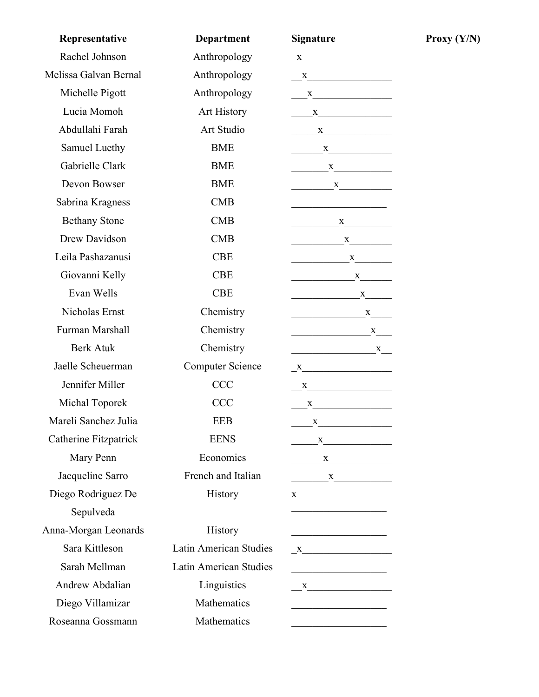| Representative        | <b>Department</b>             | <b>Signature</b>                                                                                                                                                                                                                                                                                                                                                                                                                                                                       |
|-----------------------|-------------------------------|----------------------------------------------------------------------------------------------------------------------------------------------------------------------------------------------------------------------------------------------------------------------------------------------------------------------------------------------------------------------------------------------------------------------------------------------------------------------------------------|
| Rachel Johnson        | Anthropology                  | $\frac{\text{X}}{\text{X}}$                                                                                                                                                                                                                                                                                                                                                                                                                                                            |
| Melissa Galvan Bernal | Anthropology                  | $\mathbf{X}$                                                                                                                                                                                                                                                                                                                                                                                                                                                                           |
| Michelle Pigott       | Anthropology                  | $\frac{X}{1}$                                                                                                                                                                                                                                                                                                                                                                                                                                                                          |
| Lucia Momoh           | Art History                   | $\frac{X}{1}$                                                                                                                                                                                                                                                                                                                                                                                                                                                                          |
| Abdullahi Farah       | Art Studio                    | $\frac{X}{1}$                                                                                                                                                                                                                                                                                                                                                                                                                                                                          |
| Samuel Luethy         | <b>BME</b>                    | $\begin{array}{c}\nX\n\end{array}$                                                                                                                                                                                                                                                                                                                                                                                                                                                     |
| Gabrielle Clark       | <b>BME</b>                    | $\begin{tabular}{c} \multicolumn{2}{c }{ \multicolumn{2}{c }{ \multicolumn{2}{c }{ \multicolumn{2}{c }{ \multicolumn{2}{c }{ \multicolumn{2}{c }{ \multicolumn{2}{c }{ \multicolumn{2}{c }{ \multicolumn{2}{c}}{ \multicolumn{2}{c} \multicolumn{2}{c} \multicolumn{2}{c} \multicolumn{2}{c} \multicolumn{2}{c} \multicolumn{2}{c} \multicolumn{2}{c} \multicolumn{2}{c} \multicolumn{2}{c} \multicolumn{2}{c} \multicolumn{2}{c} \multicolumn{2}{c} \multicolumn{2}{c} \multicolumn{$ |
| Devon Bowser          | <b>BME</b>                    | $\begin{array}{c} \begin{array}{c} \textbf{X} \end{array} \end{array}$                                                                                                                                                                                                                                                                                                                                                                                                                 |
| Sabrina Kragness      | <b>CMB</b>                    |                                                                                                                                                                                                                                                                                                                                                                                                                                                                                        |
| <b>Bethany Stone</b>  | <b>CMB</b>                    | $\mathbf{X}$                                                                                                                                                                                                                                                                                                                                                                                                                                                                           |
| <b>Drew Davidson</b>  | <b>CMB</b>                    | $\begin{tabular}{c} \multicolumn{2}{c }{\textbf{$X$}}\\ \multicolumn{2}{c }{\textbf{$X$}}\\ \multicolumn{2}{c }{\textbf{$X$}}\\ \multicolumn{2}{c }{\textbf{$X$}}\\ \multicolumn{2}{c }{\textbf{$X$}}\\ \multicolumn{2}{c }{\textbf{$X$}}\\ \multicolumn{2}{c }{\textbf{$X$}}\\ \multicolumn{2}{c }{\textbf{$X$}}\\ \multicolumn{2}{c }{\textbf{$X$}}\\ \multicolumn{2}{c }{\textbf{$X$}}\\ \multicolumn{2}{c }{\textbf{$X$}}\\ \multicolumn{2}{c }{\textbf{$$                         |
| Leila Pashazanusi     | <b>CBE</b>                    | $\frac{X}{1}$                                                                                                                                                                                                                                                                                                                                                                                                                                                                          |
| Giovanni Kelly        | <b>CBE</b>                    | $\mathbf{X}$                                                                                                                                                                                                                                                                                                                                                                                                                                                                           |
| Evan Wells            | <b>CBE</b>                    | $\mathbf{x}$                                                                                                                                                                                                                                                                                                                                                                                                                                                                           |
| Nicholas Ernst        | Chemistry                     | $\overbrace{\textbf{x}}$                                                                                                                                                                                                                                                                                                                                                                                                                                                               |
| Furman Marshall       | Chemistry                     |                                                                                                                                                                                                                                                                                                                                                                                                                                                                                        |
| <b>Berk Atuk</b>      | Chemistry                     |                                                                                                                                                                                                                                                                                                                                                                                                                                                                                        |
| Jaelle Scheuerman     | <b>Computer Science</b>       | $X$ and $X$ and $X$ and $X$ and $X$ and $X$ and $X$ and $X$ and $X$ and $X$ and $X$ and $X$ and $X$ and $X$ and $X$ and $X$ and $X$ and $X$ and $X$ and $X$ and $X$ and $X$ and $X$ and $X$ and $X$ and $X$ and $X$ and $X$ a                                                                                                                                                                                                                                                          |
| Jennifer Miller       | <b>CCC</b>                    | X                                                                                                                                                                                                                                                                                                                                                                                                                                                                                      |
| Michal Toporek        | <b>CCC</b>                    | $X$ and $X$ and $X$ and $X$ and $X$ and $X$ and $X$ and $X$ and $X$ and $X$ and $X$ and $X$ and $X$ and $X$ and $X$ and $X$ and $X$ and $X$ and $X$ and $X$ and $X$ and $X$ and $X$ and $X$ and $X$ and $X$ and $X$ and $X$ a                                                                                                                                                                                                                                                          |
| Mareli Sanchez Julia  | EEB                           | X                                                                                                                                                                                                                                                                                                                                                                                                                                                                                      |
| Catherine Fitzpatrick | <b>EENS</b>                   | $\frac{X}{1}$                                                                                                                                                                                                                                                                                                                                                                                                                                                                          |
| Mary Penn             | Economics                     | $\begin{array}{c} \begin{array}{c} \text{X} \end{array} \end{array}$                                                                                                                                                                                                                                                                                                                                                                                                                   |
| Jacqueline Sarro      | French and Italian            | $\begin{array}{c}\nX\n\end{array}$                                                                                                                                                                                                                                                                                                                                                                                                                                                     |
| Diego Rodriguez De    | History                       | $\mathbf{x}$                                                                                                                                                                                                                                                                                                                                                                                                                                                                           |
| Sepulveda             |                               |                                                                                                                                                                                                                                                                                                                                                                                                                                                                                        |
| Anna-Morgan Leonards  | History                       | <u> 1989 - Johann Barbara, martin a</u>                                                                                                                                                                                                                                                                                                                                                                                                                                                |
| Sara Kittleson        | <b>Latin American Studies</b> | $X$ and $X$ and $X$ and $X$ and $X$ and $X$ and $X$ and $X$ and $X$ and $X$ and $X$ and $X$ and $X$ and $X$ and $X$ and $X$ and $X$ and $X$ and $X$ and $X$ and $X$ and $X$ and $X$ and $X$ and $X$ and $X$ and $X$ and $X$ a                                                                                                                                                                                                                                                          |
| Sarah Mellman         | Latin American Studies        |                                                                                                                                                                                                                                                                                                                                                                                                                                                                                        |
| Andrew Abdalian       | Linguistics                   | X                                                                                                                                                                                                                                                                                                                                                                                                                                                                                      |
| Diego Villamizar      | Mathematics                   | <u> 1989 - Johann Barbara, martxa al-</u>                                                                                                                                                                                                                                                                                                                                                                                                                                              |
| Roseanna Gossmann     | Mathematics                   |                                                                                                                                                                                                                                                                                                                                                                                                                                                                                        |

**Proxy**  $(Y/N)$